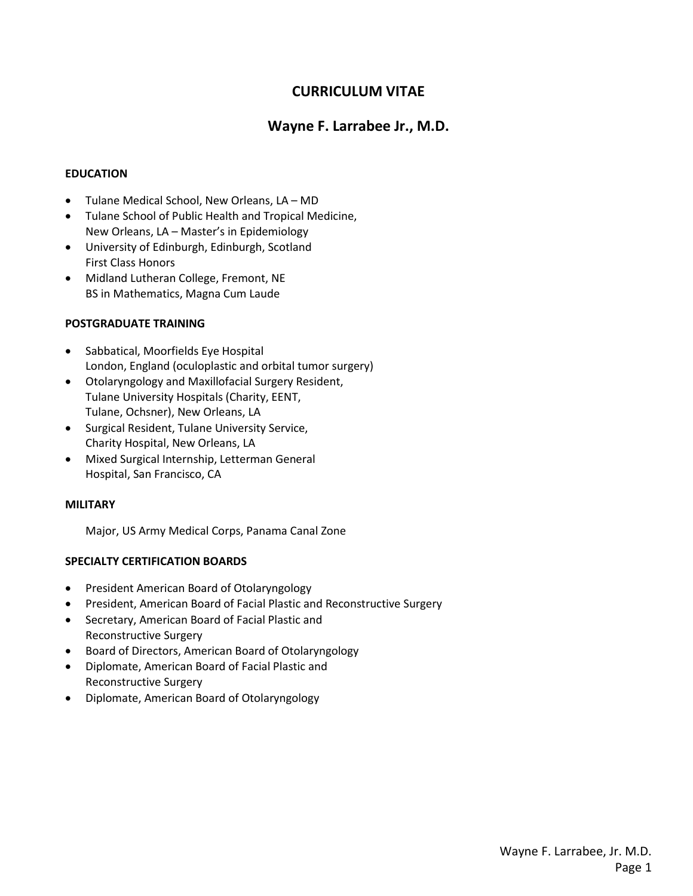# **CURRICULUM VITAE**

# **Wayne F. Larrabee Jr., M.D.**

## **EDUCATION**

- Tulane Medical School, New Orleans, LA MD
- Tulane School of Public Health and Tropical Medicine, New Orleans, LA – Master's in Epidemiology
- University of Edinburgh, Edinburgh, Scotland First Class Honors
- Midland Lutheran College, Fremont, NE BS in Mathematics, Magna Cum Laude

## **POSTGRADUATE TRAINING**

- Sabbatical, Moorfields Eye Hospital London, England (oculoplastic and orbital tumor surgery)
- Otolaryngology and Maxillofacial Surgery Resident, Tulane University Hospitals (Charity, EENT, Tulane, Ochsner), New Orleans, LA
- Surgical Resident, Tulane University Service, Charity Hospital, New Orleans, LA
- Mixed Surgical Internship, Letterman General Hospital, San Francisco, CA

### **MILITARY**

Major, US Army Medical Corps, Panama Canal Zone

### **SPECIALTY CERTIFICATION BOARDS**

- President American Board of Otolaryngology
- President, American Board of Facial Plastic and Reconstructive Surgery
- Secretary, American Board of Facial Plastic and Reconstructive Surgery
- Board of Directors, American Board of Otolaryngology
- Diplomate, American Board of Facial Plastic and Reconstructive Surgery
- Diplomate, American Board of Otolaryngology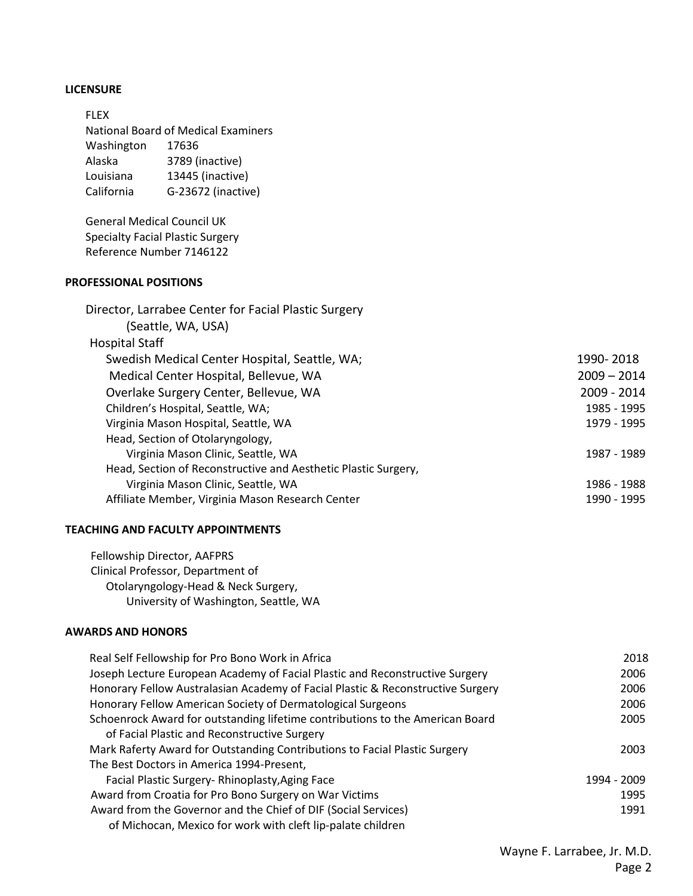### **LICENSURE**

FLEX National Board of Medical Examiners Washington 17636 Alaska 3789 (inactive) Louisiana 13445 (inactive) California G-23672 (inactive)

General Medical Council UK Specialty Facial Plastic Surgery Reference Number 7146122

# **PROFESSIONAL POSITIONS**

| 1990-2018     |
|---------------|
| $2009 - 2014$ |
| 2009 - 2014   |
| 1985 - 1995   |
| 1979 - 1995   |
|               |
| 1987 - 1989   |
|               |
| 1986 - 1988   |
| 1990 - 1995   |
|               |

#### **TEACHING AND FACULTY APPOINTMENTS**

Fellowship Director, AAFPRS Clinical Professor, Department of Otolaryngology-Head & Neck Surgery, University of Washington, Seattle, WA

#### **AWARDS AND HONORS**

| Real Self Fellowship for Pro Bono Work in Africa                                | 2018        |
|---------------------------------------------------------------------------------|-------------|
| Joseph Lecture European Academy of Facial Plastic and Reconstructive Surgery    | 2006        |
| Honorary Fellow Australasian Academy of Facial Plastic & Reconstructive Surgery | 2006        |
| Honorary Fellow American Society of Dermatological Surgeons                     | 2006        |
| Schoenrock Award for outstanding lifetime contributions to the American Board   | 2005        |
| of Facial Plastic and Reconstructive Surgery                                    |             |
| Mark Raferty Award for Outstanding Contributions to Facial Plastic Surgery      | 2003        |
| The Best Doctors in America 1994-Present,                                       |             |
| Facial Plastic Surgery-Rhinoplasty, Aging Face                                  | 1994 - 2009 |
| Award from Croatia for Pro Bono Surgery on War Victims                          | 1995        |
| Award from the Governor and the Chief of DIF (Social Services)                  | 1991        |
| of Michocan, Mexico for work with cleft lip-palate children                     |             |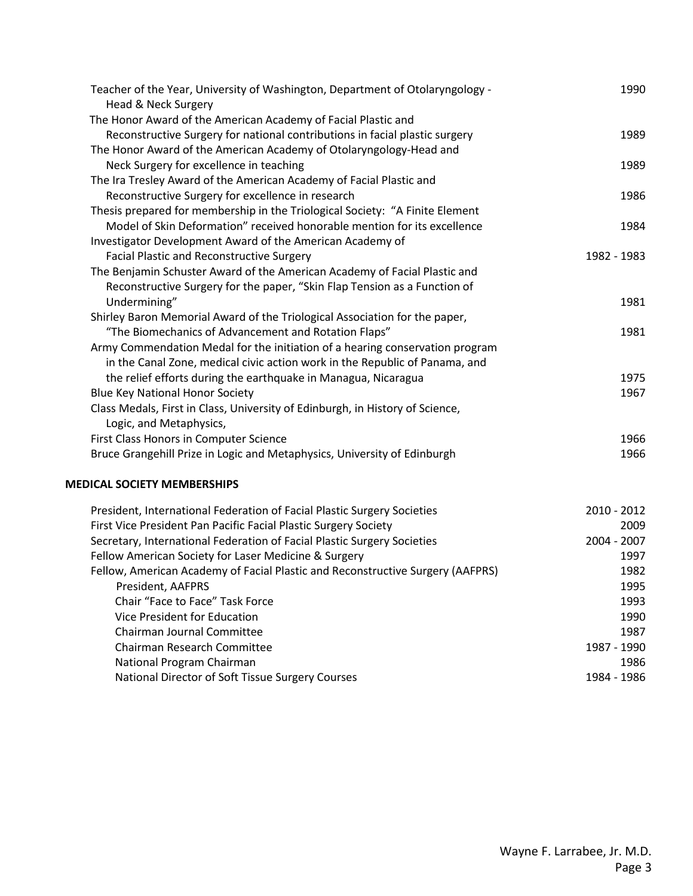| Teacher of the Year, University of Washington, Department of Otolaryngology -<br>Head & Neck Surgery | 1990        |
|------------------------------------------------------------------------------------------------------|-------------|
| The Honor Award of the American Academy of Facial Plastic and                                        |             |
| Reconstructive Surgery for national contributions in facial plastic surgery                          | 1989        |
| The Honor Award of the American Academy of Otolaryngology-Head and                                   |             |
| Neck Surgery for excellence in teaching                                                              | 1989        |
| The Ira Tresley Award of the American Academy of Facial Plastic and                                  |             |
| Reconstructive Surgery for excellence in research                                                    | 1986        |
| Thesis prepared for membership in the Triological Society: "A Finite Element                         |             |
| Model of Skin Deformation" received honorable mention for its excellence                             | 1984        |
| Investigator Development Award of the American Academy of                                            |             |
| <b>Facial Plastic and Reconstructive Surgery</b>                                                     | 1982 - 1983 |
| The Benjamin Schuster Award of the American Academy of Facial Plastic and                            |             |
| Reconstructive Surgery for the paper, "Skin Flap Tension as a Function of                            |             |
| Undermining"                                                                                         | 1981        |
| Shirley Baron Memorial Award of the Triological Association for the paper,                           |             |
| "The Biomechanics of Advancement and Rotation Flaps"                                                 | 1981        |
| Army Commendation Medal for the initiation of a hearing conservation program                         |             |
| in the Canal Zone, medical civic action work in the Republic of Panama, and                          |             |
| the relief efforts during the earthquake in Managua, Nicaragua                                       | 1975        |
| <b>Blue Key National Honor Society</b>                                                               | 1967        |
| Class Medals, First in Class, University of Edinburgh, in History of Science,                        |             |
| Logic, and Metaphysics,                                                                              |             |
| First Class Honors in Computer Science                                                               | 1966        |
| Bruce Grangehill Prize in Logic and Metaphysics, University of Edinburgh                             | 1966        |
| <b>MEDICAL SOCIETY MEMBERSHIPS</b>                                                                   |             |
| President, International Federation of Facial Plastic Surgery Societies                              | 2010 - 2012 |
| First Vice President Pan Pacific Facial Plastic Surgery Society                                      | 2009        |
| Secretary, International Federation of Facial Plastic Surgery Societies                              | 2004 - 2007 |
| Fellow American Society for Laser Medicine & Surgery                                                 | 1997        |
| Fellow, American Academy of Facial Plastic and Reconstructive Surgery (AAFPRS)                       | 1982        |
| President, AAFPRS                                                                                    | 1995        |
| Chair "Face to Face" Task Force                                                                      | 1993        |
| Vice President for Education                                                                         | 1990        |
| Chairman Journal Committee                                                                           | 1987        |
| Chairman Research Committee                                                                          | 1987 - 1990 |
| National Program Chairman                                                                            | 1986        |

National Director of Soft Tissue Surgery Courses 1984 - 1986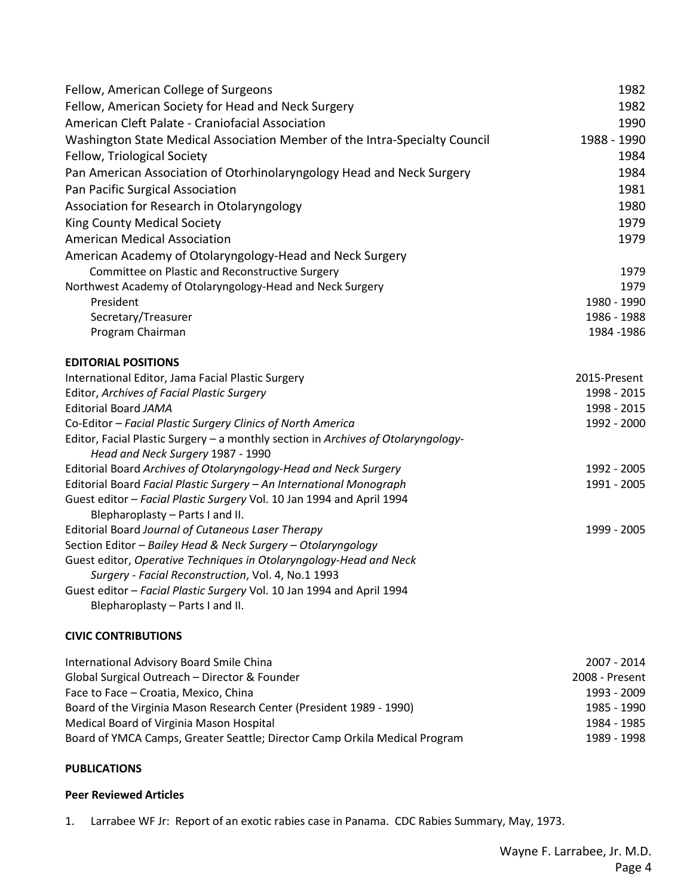| Fellow, American College of Surgeons                                                                                        | 1982         |
|-----------------------------------------------------------------------------------------------------------------------------|--------------|
| Fellow, American Society for Head and Neck Surgery                                                                          | 1982         |
| American Cleft Palate - Craniofacial Association                                                                            | 1990         |
| Washington State Medical Association Member of the Intra-Specialty Council                                                  | 1988 - 1990  |
| Fellow, Triological Society                                                                                                 | 1984         |
| Pan American Association of Otorhinolaryngology Head and Neck Surgery                                                       | 1984         |
| Pan Pacific Surgical Association                                                                                            | 1981         |
| Association for Research in Otolaryngology                                                                                  | 1980         |
| <b>King County Medical Society</b>                                                                                          | 1979         |
| <b>American Medical Association</b>                                                                                         | 1979         |
| American Academy of Otolaryngology-Head and Neck Surgery                                                                    |              |
| Committee on Plastic and Reconstructive Surgery                                                                             | 1979         |
| Northwest Academy of Otolaryngology-Head and Neck Surgery                                                                   | 1979         |
| President                                                                                                                   | 1980 - 1990  |
| Secretary/Treasurer                                                                                                         | 1986 - 1988  |
| Program Chairman                                                                                                            | 1984 - 1986  |
| <b>EDITORIAL POSITIONS</b>                                                                                                  |              |
| International Editor, Jama Facial Plastic Surgery                                                                           | 2015-Present |
| Editor, Archives of Facial Plastic Surgery                                                                                  | 1998 - 2015  |
| <b>Editorial Board JAMA</b>                                                                                                 | 1998 - 2015  |
| Co-Editor - Facial Plastic Surgery Clinics of North America                                                                 | 1992 - 2000  |
| Editor, Facial Plastic Surgery - a monthly section in Archives of Otolaryngology-                                           |              |
| Head and Neck Surgery 1987 - 1990                                                                                           |              |
| Editorial Board Archives of Otolaryngology-Head and Neck Surgery                                                            | 1992 - 2005  |
| Editorial Board Facial Plastic Surgery - An International Monograph                                                         | 1991 - 2005  |
| Guest editor - Facial Plastic Surgery Vol. 10 Jan 1994 and April 1994                                                       |              |
| Blepharoplasty - Parts I and II.                                                                                            |              |
| Editorial Board Journal of Cutaneous Laser Therapy                                                                          | 1999 - 2005  |
| Section Editor - Bailey Head & Neck Surgery - Otolaryngology                                                                |              |
| Guest editor, Operative Techniques in Otolaryngology-Head and Neck                                                          |              |
| Surgery - Facial Reconstruction, Vol. 4, No.1 1993<br>Guest editor - Facial Plastic Surgery Vol. 10 Jan 1994 and April 1994 |              |
| Blepharoplasty - Parts I and II.                                                                                            |              |
|                                                                                                                             |              |
| <b>CIVIC CONTRIBUTIONS</b>                                                                                                  |              |

| International Advisory Board Smile China                                   | 2007 - 2014    |
|----------------------------------------------------------------------------|----------------|
| Global Surgical Outreach - Director & Founder                              | 2008 - Present |
| Face to Face - Croatia, Mexico, China                                      | 1993 - 2009    |
| Board of the Virginia Mason Research Center (President 1989 - 1990)        | 1985 - 1990    |
| Medical Board of Virginia Mason Hospital                                   | 1984 - 1985    |
| Board of YMCA Camps, Greater Seattle; Director Camp Orkila Medical Program | 1989 - 1998    |

# **PUBLICATIONS**

### **Peer Reviewed Articles**

1. Larrabee WF Jr: Report of an exotic rabies case in Panama. CDC Rabies Summary, May, 1973.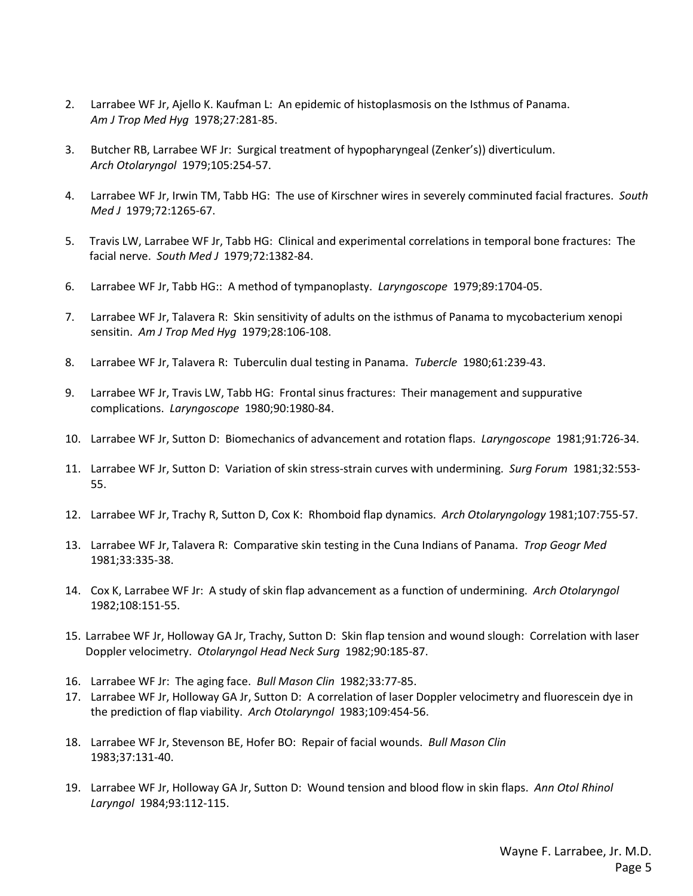- 2. Larrabee WF Jr, Ajello K. Kaufman L: An epidemic of histoplasmosis on the Isthmus of Panama. *Am J Trop Med Hyg* 1978;27:281-85.
- 3. Butcher RB, Larrabee WF Jr: Surgical treatment of hypopharyngeal (Zenker's)) diverticulum. *Arch Otolaryngol* 1979;105:254-57.
- 4. Larrabee WF Jr, Irwin TM, Tabb HG: The use of Kirschner wires in severely comminuted facial fractures. *South Med J* 1979;72:1265-67.
- 5. Travis LW, Larrabee WF Jr, Tabb HG: Clinical and experimental correlations in temporal bone fractures: The facial nerve. *South Med J* 1979;72:1382-84.
- 6. Larrabee WF Jr, Tabb HG:: A method of tympanoplasty. *Laryngoscope* 1979;89:1704-05.
- 7. Larrabee WF Jr, Talavera R: Skin sensitivity of adults on the isthmus of Panama to mycobacterium xenopi sensitin. *Am J Trop Med Hyg* 1979;28:106-108.
- 8. Larrabee WF Jr, Talavera R: Tuberculin dual testing in Panama. *Tubercle* 1980;61:239-43.
- 9. Larrabee WF Jr, Travis LW, Tabb HG: Frontal sinus fractures: Their management and suppurative complications. *Laryngoscope* 1980;90:1980-84.
- 10. Larrabee WF Jr, Sutton D: Biomechanics of advancement and rotation flaps. *Laryngoscope* 1981;91:726-34.
- 11. Larrabee WF Jr, Sutton D: Variation of skin stress-strain curves with undermining. *Surg Forum* 1981;32:553- 55.
- 12. Larrabee WF Jr, Trachy R, Sutton D, Cox K: Rhomboid flap dynamics. *Arch Otolaryngology* 1981;107:755-57.
- 13. Larrabee WF Jr, Talavera R: Comparative skin testing in the Cuna Indians of Panama. *Trop Geogr Med*  1981;33:335-38.
- 14. Cox K, Larrabee WF Jr: A study of skin flap advancement as a function of undermining. *Arch Otolaryngol*  1982;108:151-55.
- 15. Larrabee WF Jr, Holloway GA Jr, Trachy, Sutton D: Skin flap tension and wound slough: Correlation with laser Doppler velocimetry. *Otolaryngol Head Neck Surg* 1982;90:185-87.
- 16. Larrabee WF Jr: The aging face. *Bull Mason Clin* 1982;33:77-85.
- 17. Larrabee WF Jr, Holloway GA Jr, Sutton D: A correlation of laser Doppler velocimetry and fluorescein dye in the prediction of flap viability. *Arch Otolaryngol* 1983;109:454-56.
- 18. Larrabee WF Jr, Stevenson BE, Hofer BO: Repair of facial wounds. *Bull Mason Clin* 1983;37:131-40.
- 19. Larrabee WF Jr, Holloway GA Jr, Sutton D: Wound tension and blood flow in skin flaps. *Ann Otol Rhinol Laryngol* 1984;93:112-115.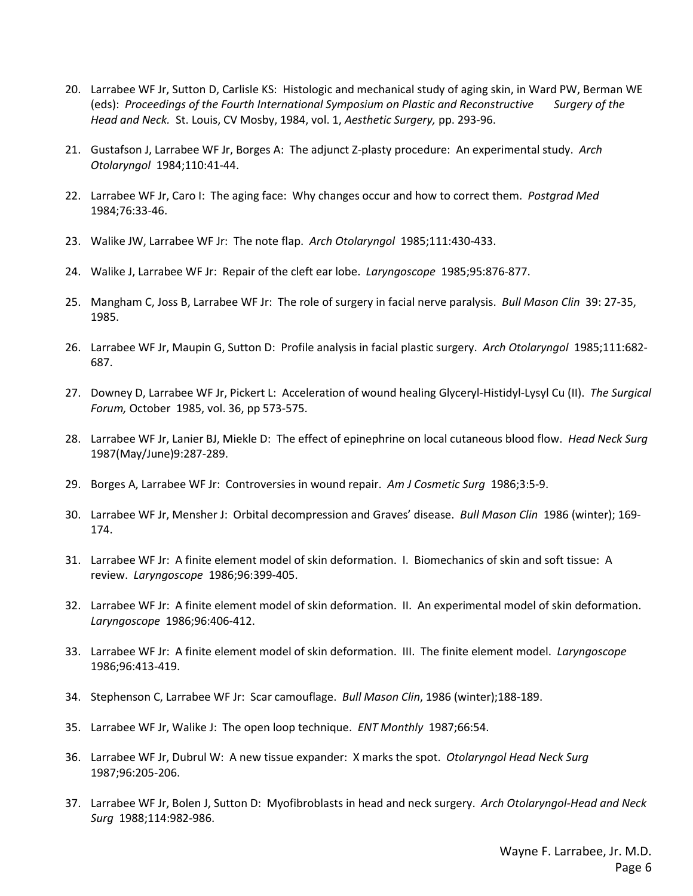- 20. Larrabee WF Jr, Sutton D, Carlisle KS: Histologic and mechanical study of aging skin, in Ward PW, Berman WE (eds): *Proceedings of the Fourth International Symposium on Plastic and Reconstructive Surgery of the Head and Neck.* St. Louis, CV Mosby, 1984, vol. 1, *Aesthetic Surgery,* pp. 293-96.
- 21. Gustafson J, Larrabee WF Jr, Borges A: The adjunct Z-plasty procedure: An experimental study. *Arch Otolaryngol* 1984;110:41-44.
- 22. Larrabee WF Jr, Caro I: The aging face: Why changes occur and how to correct them. *Postgrad Med*  1984;76:33-46.
- 23. Walike JW, Larrabee WF Jr: The note flap. *Arch Otolaryngol* 1985;111:430-433.
- 24. Walike J, Larrabee WF Jr: Repair of the cleft ear lobe. *Laryngoscope* 1985;95:876-877.
- 25. Mangham C, Joss B, Larrabee WF Jr: The role of surgery in facial nerve paralysis. *Bull Mason Clin* 39: 27-35, 1985.
- 26. Larrabee WF Jr, Maupin G, Sutton D: Profile analysis in facial plastic surgery. *Arch Otolaryngol* 1985;111:682- 687.
- 27. Downey D, Larrabee WF Jr, Pickert L: Acceleration of wound healing Glyceryl-Histidyl-Lysyl Cu (II). *The Surgical Forum,* October 1985, vol. 36, pp 573-575.
- 28. Larrabee WF Jr, Lanier BJ, Miekle D: The effect of epinephrine on local cutaneous blood flow. *Head Neck Surg*  1987(May/June)9:287-289.
- 29. Borges A, Larrabee WF Jr: Controversies in wound repair. *Am J Cosmetic Surg* 1986;3:5-9.
- 30. Larrabee WF Jr, Mensher J: Orbital decompression and Graves' disease. *Bull Mason Clin* 1986 (winter); 169- 174.
- 31. Larrabee WF Jr: A finite element model of skin deformation. I. Biomechanics of skin and soft tissue: A review. *Laryngoscope* 1986;96:399-405.
- 32. Larrabee WF Jr: A finite element model of skin deformation. II. An experimental model of skin deformation. *Laryngoscope* 1986;96:406-412.
- 33. Larrabee WF Jr: A finite element model of skin deformation. III. The finite element model. *Laryngoscope*  1986;96:413-419.
- 34. Stephenson C, Larrabee WF Jr: Scar camouflage. *Bull Mason Clin*, 1986 (winter);188-189.
- 35. Larrabee WF Jr, Walike J: The open loop technique. *ENT Monthly* 1987;66:54.
- 36. Larrabee WF Jr, Dubrul W: A new tissue expander: X marks the spot. *Otolaryngol Head Neck Surg*  1987;96:205-206.
- 37. Larrabee WF Jr, Bolen J, Sutton D: Myofibroblasts in head and neck surgery. *Arch Otolaryngol-Head and Neck Surg* 1988;114:982-986.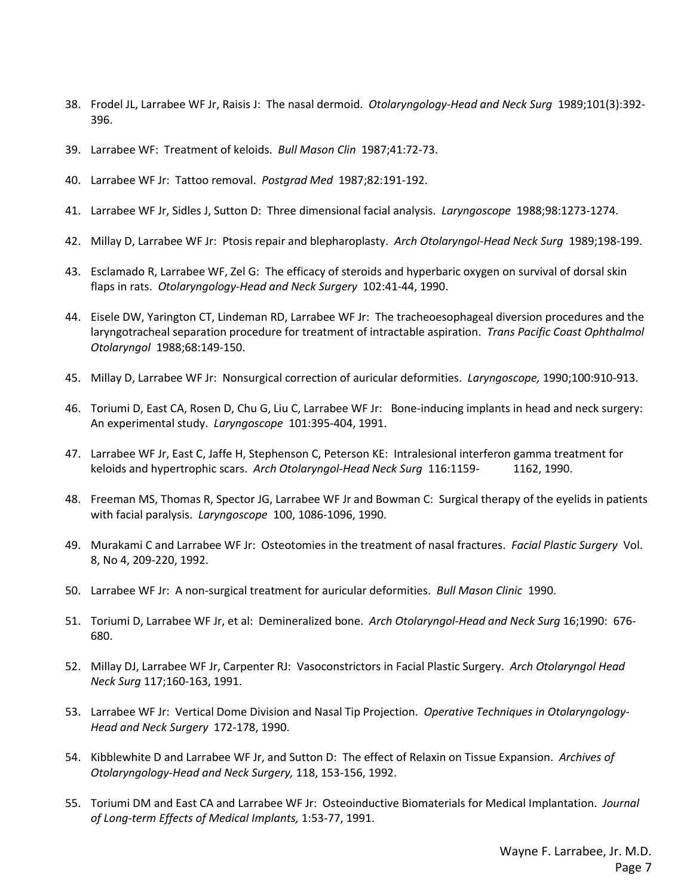- 38. Frodel JL, Larrabee WF Jr, Raisis J: The nasal dermoid. *Otolaryngology-Head and Neck Surg* 1989;101(3):392- 396.
- 39. Larrabee WF: Treatment of keloids. *Bull Mason Clin* 1987;41:72-73.
- 40. Larrabee WF Jr: Tattoo removal. *Postgrad Med* 1987;82:191-192.
- 41. Larrabee WF Jr, Sidles J, Sutton D: Three dimensional facial analysis. *Laryngoscope* 1988;98:1273-1274.
- 42. Millay D, Larrabee WF Jr: Ptosis repair and blepharoplasty. *Arch Otolaryngol-Head Neck Surg* 1989;198-199.
- 43. Esclamado R, Larrabee WF, Zel G: The efficacy of steroids and hyperbaric oxygen on survival of dorsal skin flaps in rats. *Otolaryngology-Head and Neck Surgery* 102:41-44, 1990.
- 44. Eisele DW, Yarington CT, Lindeman RD, Larrabee WF Jr: The tracheoesophageal diversion procedures and the laryngotracheal separation procedure for treatment of intractable aspiration. *Trans Pacific Coast Ophthalmol Otolaryngol* 1988;68:149-150.
- 45. Millay D, Larrabee WF Jr: Nonsurgical correction of auricular deformities. *Laryngoscope,* 1990;100:910-913.
- 46. Toriumi D, East CA, Rosen D, Chu G, Liu C, Larrabee WF Jr: Bone-inducing implants in head and neck surgery: An experimental study. *Laryngoscope* 101:395-404, 1991.
- 47. Larrabee WF Jr, East C, Jaffe H, Stephenson C, Peterson KE: Intralesional interferon gamma treatment for keloids and hypertrophic scars. *Arch Otolaryngol-Head Neck Surg* 116:1159- 1162, 1990.
- 48. Freeman MS, Thomas R, Spector JG, Larrabee WF Jr and Bowman C: Surgical therapy of the eyelids in patients with facial paralysis. *Laryngoscope* 100, 1086-1096, 1990.
- 49. Murakami C and Larrabee WF Jr: Osteotomies in the treatment of nasal fractures. *Facial Plastic Surgery* Vol. 8, No 4, 209-220, 1992.
- 50. Larrabee WF Jr: A non-surgical treatment for auricular deformities. *Bull Mason Clinic* 1990.
- 51. Toriumi D, Larrabee WF Jr, et al: Demineralized bone. *Arch Otolaryngol-Head and Neck Surg* 16;1990: 676- 680.
- 52. Millay DJ, Larrabee WF Jr, Carpenter RJ: Vasoconstrictors in Facial Plastic Surgery. *Arch Otolaryngol Head Neck Surg* 117;160-163, 1991.
- 53. Larrabee WF Jr: Vertical Dome Division and Nasal Tip Projection. *Operative Techniques in Otolaryngology-Head and Neck Surgery* 172-178, 1990.
- 54. Kibblewhite D and Larrabee WF Jr, and Sutton D: The effect of Relaxin on Tissue Expansion. *Archives of Otolaryngology-Head and Neck Surgery,* 118, 153-156, 1992.
- 55. Toriumi DM and East CA and Larrabee WF Jr: Osteoinductive Biomaterials for Medical Implantation. *Journal of Long-term Effects of Medical Implants,* 1:53-77, 1991.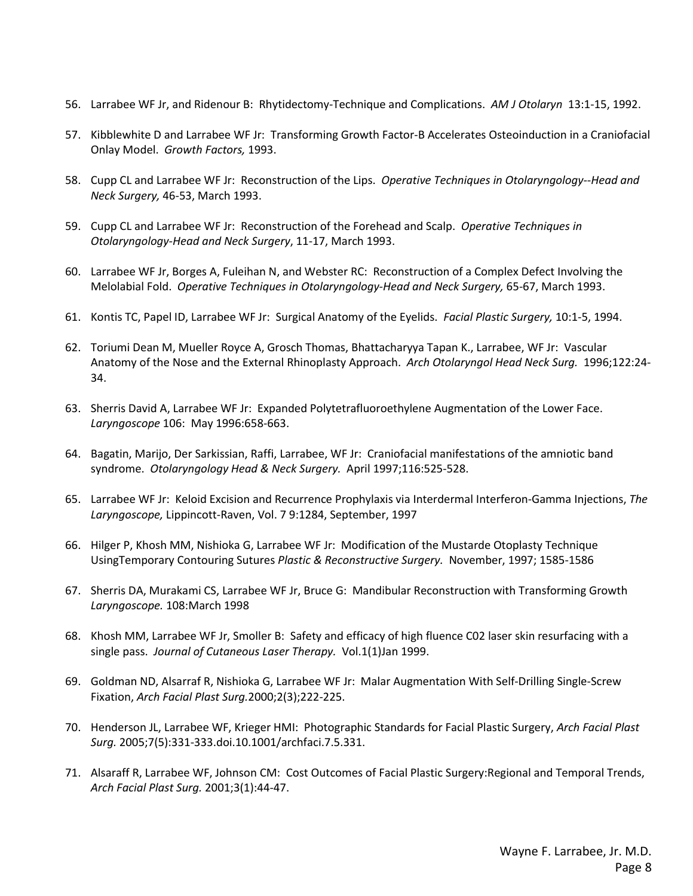- 56. Larrabee WF Jr, and Ridenour B: Rhytidectomy-Technique and Complications. *AM J Otolaryn* 13:1-15, 1992.
- 57. Kibblewhite D and Larrabee WF Jr: Transforming Growth Factor-B Accelerates Osteoinduction in a Craniofacial Onlay Model. *Growth Factors,* 1993.
- 58. Cupp CL and Larrabee WF Jr: Reconstruction of the Lips. *Operative Techniques in Otolaryngology--Head and Neck Surgery,* 46-53, March 1993.
- 59. Cupp CL and Larrabee WF Jr: Reconstruction of the Forehead and Scalp. *Operative Techniques in Otolaryngology-Head and Neck Surgery*, 11-17, March 1993.
- 60. Larrabee WF Jr, Borges A, Fuleihan N, and Webster RC: Reconstruction of a Complex Defect Involving the Melolabial Fold. *Operative Techniques in Otolaryngology-Head and Neck Surgery,* 65-67, March 1993.
- 61. Kontis TC, Papel ID, Larrabee WF Jr: Surgical Anatomy of the Eyelids. *Facial Plastic Surgery,* 10:1-5, 1994.
- 62. Toriumi Dean M, Mueller Royce A, Grosch Thomas, Bhattacharyya Tapan K., Larrabee, WF Jr: Vascular Anatomy of the Nose and the External Rhinoplasty Approach. *Arch Otolaryngol Head Neck Surg.* 1996;122:24- 34.
- 63. Sherris David A, Larrabee WF Jr: Expanded Polytetrafluoroethylene Augmentation of the Lower Face. *Laryngoscope* 106: May 1996:658-663.
- 64. Bagatin, Marijo, Der Sarkissian, Raffi, Larrabee, WF Jr: Craniofacial manifestations of the amniotic band syndrome. *Otolaryngology Head & Neck Surgery.* April 1997;116:525-528.
- 65. Larrabee WF Jr: Keloid Excision and Recurrence Prophylaxis via Interdermal Interferon-Gamma Injections, *The Laryngoscope,* Lippincott-Raven, Vol. 7 9:1284, September, 1997
- 66. Hilger P, Khosh MM, Nishioka G, Larrabee WF Jr: Modification of the Mustarde Otoplasty Technique UsingTemporary Contouring Sutures *Plastic & Reconstructive Surgery.* November, 1997; 1585-1586
- 67. Sherris DA, Murakami CS, Larrabee WF Jr, Bruce G: Mandibular Reconstruction with Transforming Growth *Laryngoscope.* 108:March 1998
- 68. Khosh MM, Larrabee WF Jr, Smoller B: Safety and efficacy of high fluence C02 laser skin resurfacing with a single pass. *Journal of Cutaneous Laser Therapy.* Vol.1(1)Jan 1999.
- 69. Goldman ND, Alsarraf R, Nishioka G, Larrabee WF Jr: Malar Augmentation With Self-Drilling Single-Screw Fixation, *Arch Facial Plast Surg.*2000;2(3);222-225.
- 70. Henderson JL, Larrabee WF, Krieger HMI: Photographic Standards for Facial Plastic Surgery, *Arch Facial Plast Surg.* 2005;7(5):331-333.doi.10.1001/archfaci.7.5.331.
- 71. Alsaraff R, Larrabee WF, Johnson CM: Cost Outcomes of Facial Plastic Surgery:Regional and Temporal Trends, *Arch Facial Plast Surg.* 2001;3(1):44-47.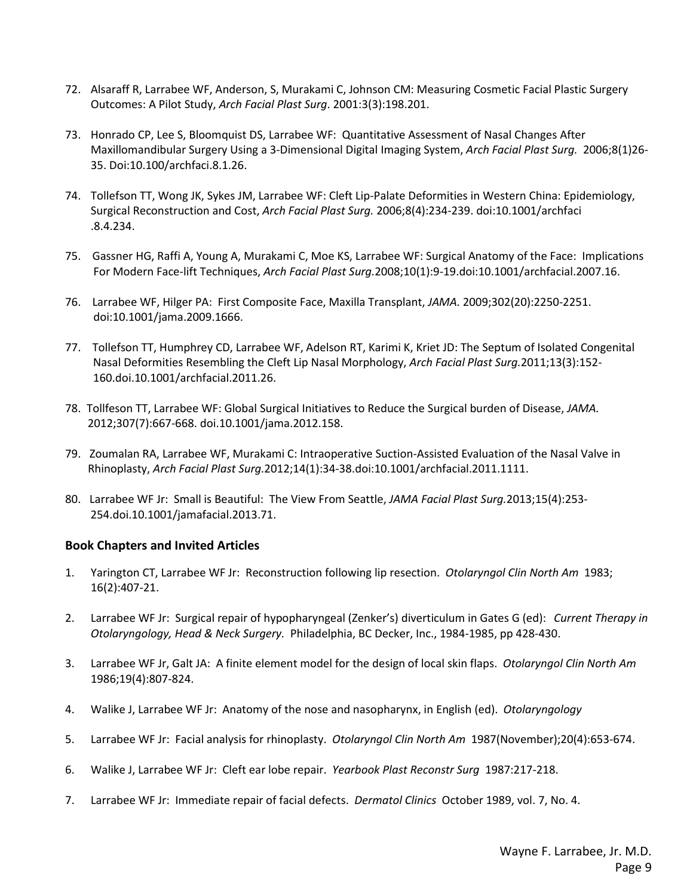- 72. Alsaraff R, Larrabee WF, Anderson, S, Murakami C, Johnson CM: Measuring Cosmetic Facial Plastic Surgery Outcomes: A Pilot Study, *Arch Facial Plast Surg*. 2001:3(3):198.201.
- 73. Honrado CP, Lee S, Bloomquist DS, Larrabee WF: Quantitative Assessment of Nasal Changes After Maxillomandibular Surgery Using a 3-Dimensional Digital Imaging System, *Arch Facial Plast Surg.* 2006;8(1)26- 35. Doi:10.100/archfaci.8.1.26.
- 74. Tollefson TT, Wong JK, Sykes JM, Larrabee WF: Cleft Lip-Palate Deformities in Western China: Epidemiology, Surgical Reconstruction and Cost, *Arch Facial Plast Surg.* 2006;8(4):234-239. doi:10.1001/archfaci .8.4.234.
- 75. Gassner HG, Raffi A, Young A, Murakami C, Moe KS, Larrabee WF: Surgical Anatomy of the Face: Implications For Modern Face-lift Techniques, *Arch Facial Plast Surg.*2008;10(1):9-19.doi:10.1001/archfacial.2007.16.
- 76. Larrabee WF, Hilger PA: First Composite Face, Maxilla Transplant, *JAMA.* 2009;302(20):2250-2251. doi:10.1001/jama.2009.1666.
- 77. Tollefson TT, Humphrey CD, Larrabee WF, Adelson RT, Karimi K, Kriet JD: The Septum of Isolated Congenital Nasal Deformities Resembling the Cleft Lip Nasal Morphology, *Arch Facial Plast Surg.*2011;13(3):152- 160.doi.10.1001/archfacial.2011.26.
- 78. Tollfeson TT, Larrabee WF: Global Surgical Initiatives to Reduce the Surgical burden of Disease, *JAMA.* 2012;307(7):667-668. doi.10.1001/jama.2012.158.
- 79. Zoumalan RA, Larrabee WF, Murakami C: Intraoperative Suction-Assisted Evaluation of the Nasal Valve in Rhinoplasty, *Arch Facial Plast Surg.*2012;14(1):34-38.doi:10.1001/archfacial.2011.1111.
- 80. Larrabee WF Jr: Small is Beautiful: The View From Seattle, *JAMA Facial Plast Surg.*2013;15(4):253- 254.doi.10.1001/jamafacial.2013.71.

# **Book Chapters and Invited Articles**

- 1. Yarington CT, Larrabee WF Jr: Reconstruction following lip resection. *Otolaryngol Clin North Am* 1983; 16(2):407-21.
- 2. Larrabee WF Jr: Surgical repair of hypopharyngeal (Zenker's) diverticulum in Gates G (ed): *Current Therapy in Otolaryngology, Head & Neck Surgery.* Philadelphia, BC Decker, Inc., 1984-1985, pp 428-430.
- 3. Larrabee WF Jr, Galt JA: A finite element model for the design of local skin flaps. *Otolaryngol Clin North Am*  1986;19(4):807-824.
- 4. Walike J, Larrabee WF Jr: Anatomy of the nose and nasopharynx, in English (ed). *Otolaryngology*
- 5. Larrabee WF Jr: Facial analysis for rhinoplasty. *Otolaryngol Clin North Am* 1987(November);20(4):653-674.
- 6. Walike J, Larrabee WF Jr: Cleft ear lobe repair. *Yearbook Plast Reconstr Surg* 1987:217-218.
- 7. Larrabee WF Jr: Immediate repair of facial defects. *Dermatol Clinics* October 1989, vol. 7, No. 4.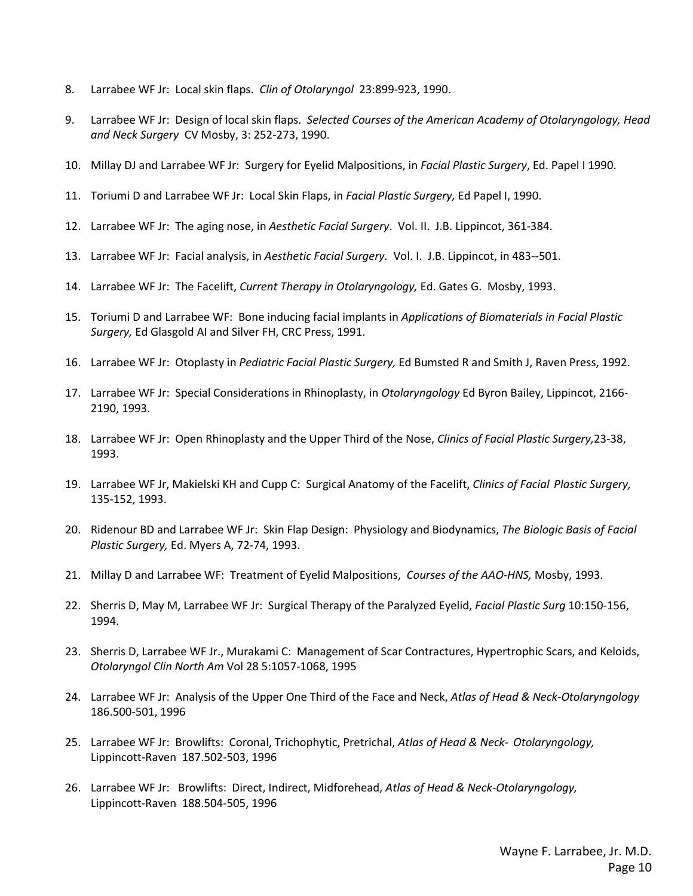- 8. Larrabee WF Jr: Local skin flaps. *Clin of Otolaryngol* 23:899-923, 1990.
- 9. Larrabee WF Jr: Design of local skin flaps. *Selected Courses of the American Academy of Otolaryngology, Head and Neck Surgery* CV Mosby, 3: 252-273, 1990.
- 10. Millay DJ and Larrabee WF Jr: Surgery for Eyelid Malpositions, in *Facial Plastic Surgery*, Ed. Papel I 1990.
- 11. Toriumi D and Larrabee WF Jr: Local Skin Flaps, in *Facial Plastic Surgery,* Ed Papel I, 1990.
- 12. Larrabee WF Jr: The aging nose, in *Aesthetic Facial Surgery*. Vol. II. J.B. Lippincot, 361-384.
- 13. Larrabee WF Jr: Facial analysis, in *Aesthetic Facial Surgery.* Vol. I. J.B. Lippincot, in 483--501.
- 14. Larrabee WF Jr: The Facelift, *Current Therapy in Otolaryngology,* Ed. Gates G. Mosby, 1993.
- 15. Toriumi D and Larrabee WF: Bone inducing facial implants in *Applications of Biomaterials in Facial Plastic Surgery,* Ed Glasgold AI and Silver FH, CRC Press, 1991.
- 16. Larrabee WF Jr: Otoplasty in *Pediatric Facial Plastic Surgery,* Ed Bumsted R and Smith J, Raven Press, 1992.
- 17. Larrabee WF Jr: Special Considerations in Rhinoplasty, in *Otolaryngology* Ed Byron Bailey, Lippincot, 2166- 2190, 1993.
- 18. Larrabee WF Jr: Open Rhinoplasty and the Upper Third of the Nose, *Clinics of Facial Plastic Surgery,*23-38, 1993.
- 19. Larrabee WF Jr, Makielski KH and Cupp C: Surgical Anatomy of the Facelift, *Clinics of Facial Plastic Surgery,*  135-152, 1993.
- 20. Ridenour BD and Larrabee WF Jr: Skin Flap Design: Physiology and Biodynamics, *The Biologic Basis of Facial Plastic Surgery,* Ed. Myers A, 72-74, 1993.
- 21. Millay D and Larrabee WF: Treatment of Eyelid Malpositions, *Courses of the AAO-HNS,* Mosby, 1993.
- 22. Sherris D, May M, Larrabee WF Jr: Surgical Therapy of the Paralyzed Eyelid, *Facial Plastic Surg* 10:150-156, 1994.
- 23. Sherris D, Larrabee WF Jr., Murakami C: Management of Scar Contractures, Hypertrophic Scars, and Keloids, *Otolaryngol Clin North Am* Vol 28 5:1057-1068, 1995
- 24. Larrabee WF Jr: Analysis of the Upper One Third of the Face and Neck, *Atlas of Head & Neck-Otolaryngology*  186.500-501, 1996
- 25. Larrabee WF Jr: Browlifts: Coronal, Trichophytic, Pretrichal, *Atlas of Head & Neck- Otolaryngology,*  Lippincott-Raven187.502-503, 1996
- 26. Larrabee WF Jr: Browlifts: Direct, Indirect, Midforehead, *Atlas of Head & Neck-Otolaryngology,* Lippincott-Raven188.504-505, 1996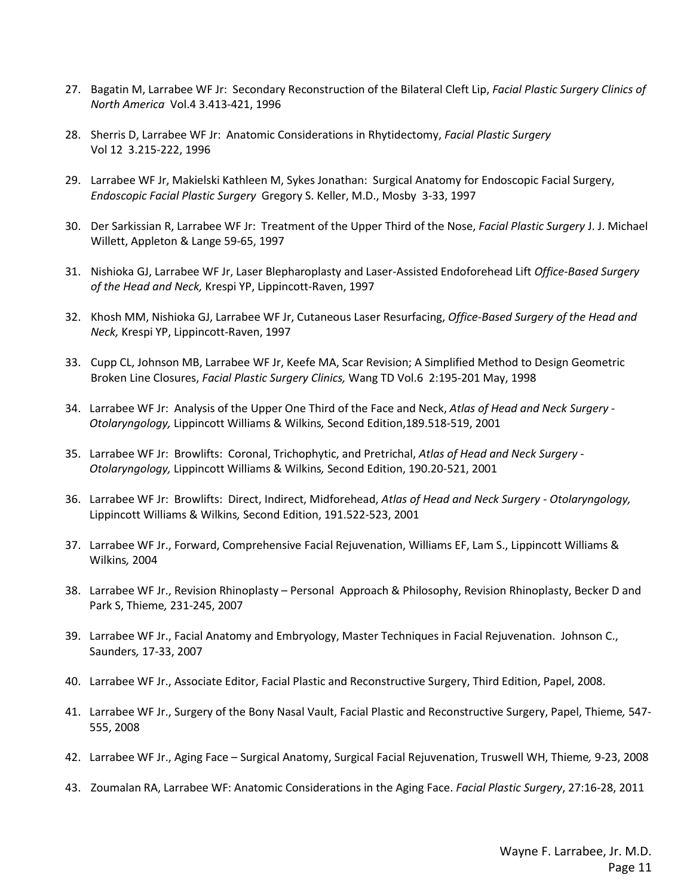- 27. Bagatin M, Larrabee WF Jr: Secondary Reconstruction of the Bilateral Cleft Lip, *Facial Plastic Surgery Clinics of North America* Vol.4 3.413-421, 1996
- 28. Sherris D, Larrabee WF Jr: Anatomic Considerations in Rhytidectomy, *Facial Plastic Surgery*  Vol 12 3.215-222, 1996
- 29. Larrabee WF Jr, Makielski Kathleen M, Sykes Jonathan: Surgical Anatomy for Endoscopic Facial Surgery, *Endoscopic Facial Plastic Surgery* Gregory S. Keller, M.D., Mosby 3-33, 1997
- 30. Der Sarkissian R, Larrabee WF Jr: Treatment of the Upper Third of the Nose, *Facial Plastic Surgery* J. J. Michael Willett, Appleton & Lange 59-65, 1997
- 31. Nishioka GJ, Larrabee WF Jr, Laser Blepharoplasty and Laser-Assisted Endoforehead Lift *Office-Based Surgery of the Head and Neck,* Krespi YP, Lippincott-Raven, 1997
- 32. Khosh MM, Nishioka GJ, Larrabee WF Jr, Cutaneous Laser Resurfacing, *Office-Based Surgery of the Head and Neck,* Krespi YP, Lippincott-Raven, 1997
- 33. Cupp CL, Johnson MB, Larrabee WF Jr, Keefe MA, Scar Revision; A Simplified Method to Design Geometric Broken Line Closures, *Facial Plastic Surgery Clinics,* Wang TD Vol.6 2:195-201 May, 1998
- 34. Larrabee WF Jr: Analysis of the Upper One Third of the Face and Neck, *Atlas of Head and Neck Surgery - Otolaryngology,* Lippincott Williams & Wilkins*,* Second Edition,189.518-519, 2001
- 35. Larrabee WF Jr: Browlifts: Coronal, Trichophytic, and Pretrichal, *Atlas of Head and Neck Surgery - Otolaryngology,* Lippincott Williams & Wilkins*,* Second Edition, 190.20-521, 2001
- 36. Larrabee WF Jr: Browlifts: Direct, Indirect, Midforehead, *Atlas of Head and Neck Surgery - Otolaryngology,*  Lippincott Williams & Wilkins*,* Second Edition, 191.522-523, 2001
- 37. Larrabee WF Jr., Forward, Comprehensive Facial Rejuvenation, Williams EF, Lam S., Lippincott Williams & Wilkins*,* 2004
- 38. Larrabee WF Jr., Revision Rhinoplasty Personal Approach & Philosophy, Revision Rhinoplasty, Becker D and Park S, Thieme*,* 231-245, 2007
- 39. Larrabee WF Jr., Facial Anatomy and Embryology, Master Techniques in Facial Rejuvenation. Johnson C., Saunders*,* 17-33, 2007
- 40. Larrabee WF Jr., Associate Editor, Facial Plastic and Reconstructive Surgery, Third Edition, Papel, 2008.
- 41. Larrabee WF Jr., Surgery of the Bony Nasal Vault, Facial Plastic and Reconstructive Surgery, Papel, Thieme*,* 547- 555, 2008
- 42. Larrabee WF Jr., Aging Face Surgical Anatomy, Surgical Facial Rejuvenation, Truswell WH, Thieme*,* 9-23, 2008
- 43. Zoumalan RA, Larrabee WF: Anatomic Considerations in the Aging Face. *Facial Plastic Surgery*, 27:16-28, 2011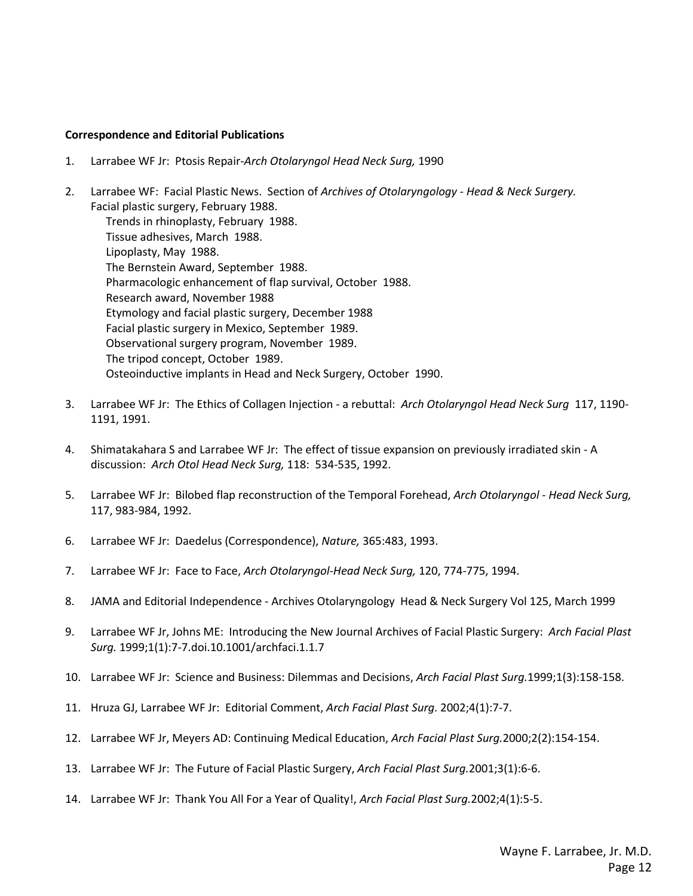#### **Correspondence and Editorial Publications**

- 1. Larrabee WF Jr: Ptosis Repair-*Arch Otolaryngol Head Neck Surg,* 1990
- 2. Larrabee WF: Facial Plastic News. Section of *Archives of Otolaryngology - Head & Neck Surgery.* Facial plastic surgery, February 1988. Trends in rhinoplasty, February 1988. Tissue adhesives, March 1988.

Lipoplasty, May 1988. The Bernstein Award, September 1988. Pharmacologic enhancement of flap survival, October 1988. Research award, November 1988 Etymology and facial plastic surgery, December 1988 Facial plastic surgery in Mexico, September 1989. Observational surgery program, November 1989. The tripod concept, October 1989. Osteoinductive implants in Head and Neck Surgery, October 1990.

- 3. Larrabee WF Jr: The Ethics of Collagen Injection a rebuttal: *Arch Otolaryngol Head Neck Surg* 117, 1190- 1191, 1991.
- 4. Shimatakahara S and Larrabee WF Jr: The effect of tissue expansion on previously irradiated skin A discussion: *Arch Otol Head Neck Surg,* 118: 534-535, 1992.
- 5. Larrabee WF Jr: Bilobed flap reconstruction of the Temporal Forehead, *Arch Otolaryngol - Head Neck Surg,*  117, 983-984, 1992.
- 6. Larrabee WF Jr: Daedelus (Correspondence), *Nature,* 365:483, 1993.
- 7. Larrabee WF Jr: Face to Face, *Arch Otolaryngol-Head Neck Surg,* 120, 774-775, 1994.
- 8. JAMA and Editorial Independence Archives Otolaryngology Head & Neck Surgery Vol 125, March 1999
- 9. Larrabee WF Jr, Johns ME: Introducing the New Journal Archives of Facial Plastic Surgery: *Arch Facial Plast Surg.* 1999;1(1):7-7.doi.10.1001/archfaci.1.1.7
- 10. Larrabee WF Jr: Science and Business: Dilemmas and Decisions, *Arch Facial Plast Surg.*1999;1(3):158-158.
- 11. Hruza GJ, Larrabee WF Jr: Editorial Comment, *Arch Facial Plast Surg.* 2002;4(1):7-7.
- 12. Larrabee WF Jr, Meyers AD: Continuing Medical Education, *Arch Facial Plast Surg.*2000;2(2):154-154.
- 13. Larrabee WF Jr: The Future of Facial Plastic Surgery, *Arch Facial Plast Surg.*2001;3(1):6-6.
- 14. Larrabee WF Jr: Thank You All For a Year of Quality!, *Arch Facial Plast Surg.*2002;4(1):5-5.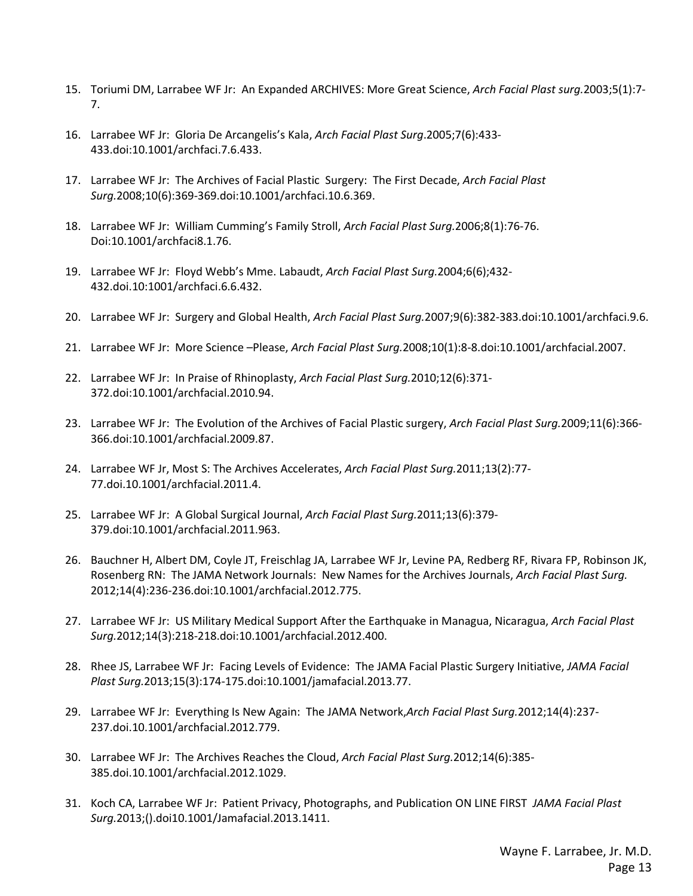- 15. Toriumi DM, Larrabee WF Jr: An Expanded ARCHIVES: More Great Science, *Arch Facial Plast surg.*2003;5(1):7- 7.
- 16. Larrabee WF Jr: Gloria De Arcangelis's Kala, *Arch Facial Plast Surg*.2005;7(6):433- 433.doi:10.1001/archfaci.7.6.433.
- 17. Larrabee WF Jr: The Archives of Facial Plastic Surgery: The First Decade, *Arch Facial Plast Surg.*2008;10(6):369-369.doi:10.1001/archfaci.10.6.369.
- 18. Larrabee WF Jr: William Cumming's Family Stroll, *Arch Facial Plast Surg.*2006;8(1):76-76. Doi:10.1001/archfaci8.1.76.
- 19. Larrabee WF Jr: Floyd Webb's Mme. Labaudt, *Arch Facial Plast Surg.*2004;6(6);432- 432.doi.10:1001/archfaci.6.6.432.
- 20. Larrabee WF Jr: Surgery and Global Health, *Arch Facial Plast Surg.*2007;9(6):382-383.doi:10.1001/archfaci.9.6.
- 21. Larrabee WF Jr: More Science –Please, *Arch Facial Plast Surg.*2008;10(1):8-8.doi:10.1001/archfacial.2007.
- 22. Larrabee WF Jr: In Praise of Rhinoplasty, *Arch Facial Plast Surg.*2010;12(6):371- 372.doi:10.1001/archfacial.2010.94.
- 23. Larrabee WF Jr: The Evolution of the Archives of Facial Plastic surgery, *Arch Facial Plast Surg.*2009;11(6):366- 366.doi:10.1001/archfacial.2009.87.
- 24. Larrabee WF Jr, Most S: The Archives Accelerates, *Arch Facial Plast Surg.*2011;13(2):77- 77.doi.10.1001/archfacial.2011.4.
- 25. Larrabee WF Jr: A Global Surgical Journal, *Arch Facial Plast Surg.*2011;13(6):379- 379.doi:10.1001/archfacial.2011.963.
- 26. Bauchner H, Albert DM, Coyle JT, Freischlag JA, Larrabee WF Jr, Levine PA, Redberg RF, Rivara FP, Robinson JK, Rosenberg RN: The JAMA Network Journals: New Names for the Archives Journals, *Arch Facial Plast Surg.*  2012;14(4):236-236.doi:10.1001/archfacial.2012.775.
- 27. Larrabee WF Jr: US Military Medical Support After the Earthquake in Managua, Nicaragua, *Arch Facial Plast Surg.*2012;14(3):218-218.doi:10.1001/archfacial.2012.400.
- 28. Rhee JS, Larrabee WF Jr: Facing Levels of Evidence: The JAMA Facial Plastic Surgery Initiative, *JAMA Facial Plast Surg.*2013;15(3):174-175.doi:10.1001/jamafacial.2013.77.
- 29. Larrabee WF Jr: Everything Is New Again: The JAMA Network,*Arch Facial Plast Surg.*2012;14(4):237- 237.doi.10.1001/archfacial.2012.779.
- 30. Larrabee WF Jr: The Archives Reaches the Cloud, *Arch Facial Plast Surg.*2012;14(6):385- 385.doi.10.1001/archfacial.2012.1029.
- 31. Koch CA, Larrabee WF Jr: Patient Privacy, Photographs, and Publication ON LINE FIRST *JAMA Facial Plast Surg.*2013;().doi10.1001/Jamafacial.2013.1411.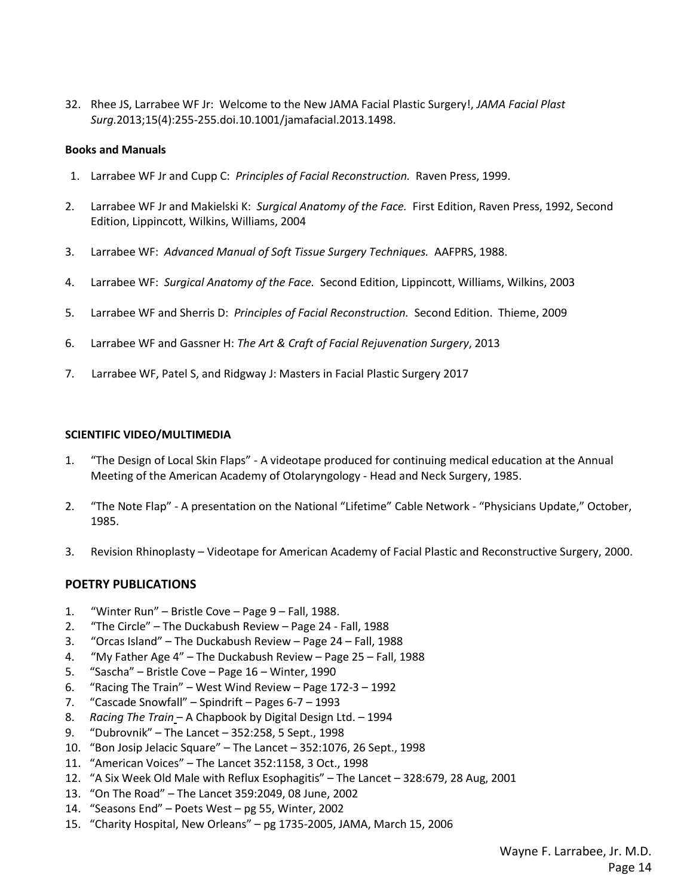32. Rhee JS, Larrabee WF Jr: Welcome to the New JAMA Facial Plastic Surgery!, *JAMA Facial Plast Surg.*2013;15(4):255-255.doi.10.1001/jamafacial.2013.1498.

### **Books and Manuals**

- 1. Larrabee WF Jr and Cupp C: *Principles of Facial Reconstruction.* Raven Press, 1999.
- 2. Larrabee WF Jr and Makielski K: *Surgical Anatomy of the Face.* First Edition, Raven Press, 1992, Second Edition, Lippincott, Wilkins, Williams, 2004
- 3. Larrabee WF: *Advanced Manual of Soft Tissue Surgery Techniques.* AAFPRS, 1988.
- 4. Larrabee WF: *Surgical Anatomy of the Face.* Second Edition, Lippincott, Williams, Wilkins, 2003
- 5. Larrabee WF and Sherris D: *Principles of Facial Reconstruction.* Second Edition. Thieme, 2009
- 6. Larrabee WF and Gassner H: *The Art & Craft of Facial Rejuvenation Surgery*, 2013
- 7. Larrabee WF, Patel S, and Ridgway J: Masters in Facial Plastic Surgery 2017

### **SCIENTIFIC VIDEO/MULTIMEDIA**

- 1. "The Design of Local Skin Flaps" A videotape produced for continuing medical education at the Annual Meeting of the American Academy of Otolaryngology - Head and Neck Surgery, 1985.
- 2. "The Note Flap" A presentation on the National "Lifetime" Cable Network "Physicians Update," October, 1985.
- 3. Revision Rhinoplasty Videotape for American Academy of Facial Plastic and Reconstructive Surgery, 2000.

# **POETRY PUBLICATIONS**

- 1. "Winter Run" Bristle Cove Page 9 Fall, 1988.
- 2. "The Circle" The Duckabush Review Page 24 Fall, 1988
- 3. "Orcas Island" The Duckabush Review Page 24 Fall, 1988
- 4. "My Father Age 4" The Duckabush Review Page 25 Fall, 1988
- 5. "Sascha" Bristle Cove Page 16 Winter, 1990
- 6. "Racing The Train" West Wind Review Page 172-3 1992
- 7. "Cascade Snowfall" Spindrift Pages 6-7 1993
- 8. *Racing The Train* A Chapbook by Digital Design Ltd. 1994
- 9. "Dubrovnik" The Lancet 352:258, 5 Sept., 1998
- 10. "Bon Josip Jelacic Square" The Lancet 352:1076, 26 Sept., 1998
- 11. "American Voices" The Lancet 352:1158, 3 Oct., 1998
- 12. "A Six Week Old Male with Reflux Esophagitis" The Lancet 328:679, 28 Aug, 2001
- 13. "On The Road" The Lancet 359:2049, 08 June, 2002
- 14. "Seasons End" Poets West pg 55, Winter, 2002
- 15. "Charity Hospital, New Orleans" pg 1735-2005, JAMA, March 15, 2006